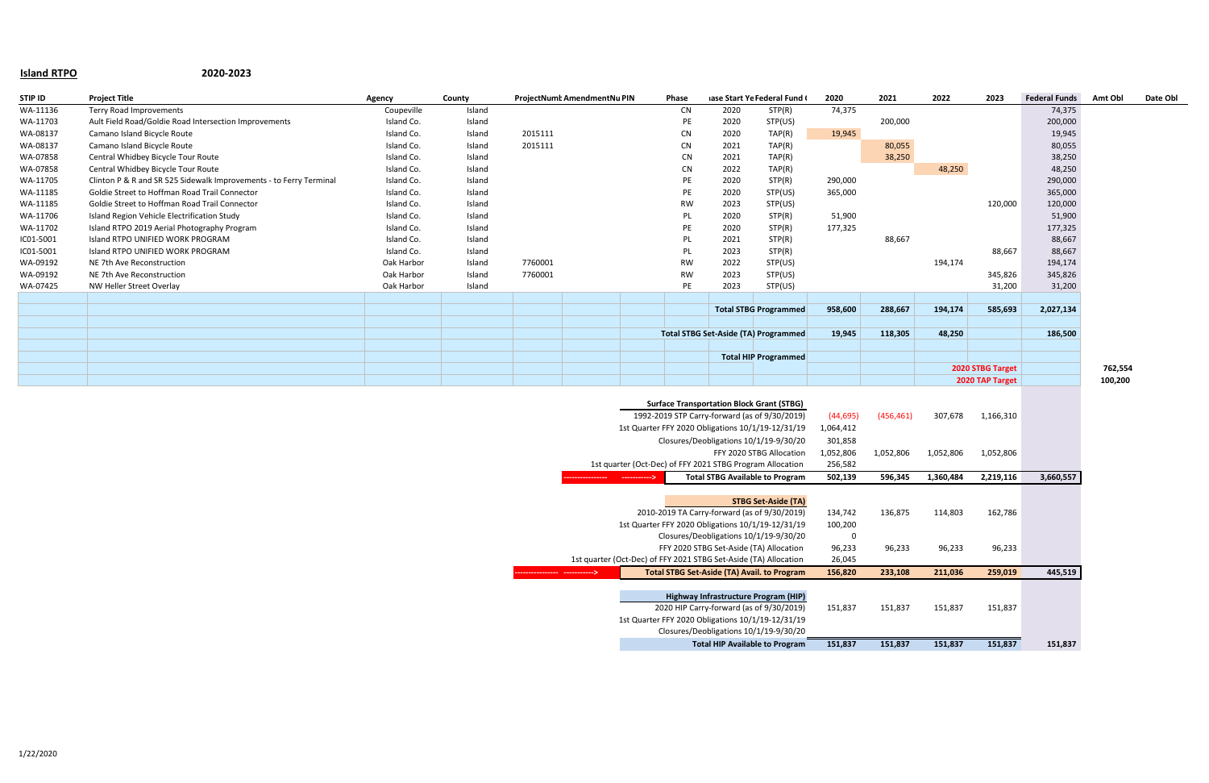## **Island RTPO 2020-2023**

| STIP ID   | <b>Project Title</b>                                               | Agency                                                      | County |         | ProjectNumt AmendmentNu PIN |                                         | Phase                                                                            |                                             | iase Start Ye Federal Fund (                      | 2020      | 2021       | 2022      | 2023             | <b>Federal Funds</b> | Amt Obl | Date Obl |
|-----------|--------------------------------------------------------------------|-------------------------------------------------------------|--------|---------|-----------------------------|-----------------------------------------|----------------------------------------------------------------------------------|---------------------------------------------|---------------------------------------------------|-----------|------------|-----------|------------------|----------------------|---------|----------|
| WA-11136  | Terry Road Improvements                                            | Coupeville                                                  | Island |         |                             |                                         | CN                                                                               | 2020                                        | STP(R)                                            | 74,375    |            |           |                  | 74,375               |         |          |
| WA-11703  | Ault Field Road/Goldie Road Intersection Improvements              | Island Co.                                                  | Island |         |                             |                                         | PE                                                                               | 2020                                        | STP(US)                                           |           | 200,000    |           |                  | 200,000              |         |          |
| WA-08137  | Camano Island Bicycle Route                                        | Island Co.                                                  | Island | 2015111 |                             |                                         | <b>CN</b>                                                                        | 2020                                        | TAP(R)                                            | 19,945    |            |           |                  | 19,945               |         |          |
| WA-08137  | Camano Island Bicycle Route                                        | Island Co.                                                  | Island | 2015111 |                             |                                         | <b>CN</b>                                                                        | 2021                                        | TAP(R)                                            |           | 80,055     |           |                  | 80,055               |         |          |
| WA-07858  | Central Whidbey Bicycle Tour Route                                 | Island Co.                                                  | Island |         |                             |                                         | <b>CN</b>                                                                        | 2021                                        | TAP(R)                                            |           | 38,250     |           |                  | 38,250               |         |          |
| WA-07858  | Central Whidbey Bicycle Tour Route                                 | Island Co.                                                  | Island |         |                             |                                         | <b>CN</b>                                                                        | 2022                                        | TAP(R)                                            |           |            | 48,250    |                  | 48,250               |         |          |
| WA-11705  | Clinton P & R and SR 525 Sidewalk Improvements - to Ferry Terminal | Island Co.                                                  | Island |         |                             |                                         | PE                                                                               | 2020                                        | STP(R)                                            | 290,000   |            |           |                  | 290,000              |         |          |
| WA-11185  | Goldie Street to Hoffman Road Trail Connector                      | Island Co.                                                  | Island |         |                             |                                         | PE                                                                               | 2020                                        | STP(US)                                           | 365,000   |            |           |                  | 365,000              |         |          |
| WA-11185  | Goldie Street to Hoffman Road Trail Connector                      | Island Co.                                                  | Island |         |                             |                                         | <b>RW</b>                                                                        | 2023                                        | STP(US)                                           |           |            |           | 120,000          | 120,000              |         |          |
| WA-11706  | Island Region Vehicle Electrification Study                        | Island Co.                                                  | Island |         |                             |                                         | PL                                                                               | 2020                                        | STP(R)                                            | 51,900    |            |           |                  | 51,900               |         |          |
| WA-11702  | Island RTPO 2019 Aerial Photography Program                        | Island Co.                                                  | Island |         |                             |                                         | PE                                                                               | 2020                                        | STP(R)                                            | 177,325   |            |           |                  | 177,325              |         |          |
| IC01-5001 | Island RTPO UNIFIED WORK PROGRAM                                   | Island Co.                                                  | Island |         |                             |                                         | PL                                                                               | 2021                                        | STP(R)                                            |           | 88,667     |           |                  | 88,667               |         |          |
| IC01-5001 | Island RTPO UNIFIED WORK PROGRAM                                   | Island Co.                                                  | Island |         |                             |                                         | PL                                                                               | 2023                                        | STP(R)                                            |           |            |           | 88,667           | 88,667               |         |          |
| WA-09192  | NE 7th Ave Reconstruction                                          | Oak Harbor                                                  | Island | 7760001 |                             |                                         | RW                                                                               | 2022                                        | STP(US)                                           |           |            | 194,174   |                  | 194,174              |         |          |
| WA-09192  | NE 7th Ave Reconstruction                                          | Oak Harbor                                                  | Island | 7760001 |                             |                                         | <b>RW</b>                                                                        | 2023                                        | STP(US)                                           |           |            |           | 345,826          | 345,826              |         |          |
| WA-07425  | NW Heller Street Overlay                                           | Oak Harbor                                                  | Island |         |                             |                                         | PE                                                                               | 2023                                        | STP(US)                                           |           |            |           | 31,200           | 31,200               |         |          |
|           |                                                                    |                                                             |        |         |                             |                                         |                                                                                  |                                             |                                                   |           |            |           |                  |                      |         |          |
|           |                                                                    |                                                             |        |         |                             |                                         |                                                                                  |                                             | <b>Total STBG Programmed</b>                      | 958,600   | 288,667    | 194,174   | 585,693          | 2,027,134            |         |          |
|           |                                                                    |                                                             |        |         |                             |                                         |                                                                                  |                                             |                                                   |           |            |           |                  |                      |         |          |
|           |                                                                    |                                                             |        |         |                             |                                         |                                                                                  | <b>Total STBG Set-Aside (TA) Programmed</b> |                                                   | 19,945    | 118,305    | 48,250    |                  | 186,500              |         |          |
|           |                                                                    |                                                             |        |         |                             |                                         |                                                                                  |                                             | <b>Total HIP Programmed</b>                       |           |            |           |                  |                      |         |          |
|           |                                                                    |                                                             |        |         |                             |                                         |                                                                                  |                                             |                                                   |           |            |           | 2020 STBG Target |                      | 762,554 |          |
|           |                                                                    |                                                             |        |         |                             |                                         |                                                                                  |                                             |                                                   |           |            |           | 2020 TAP Target  |                      |         |          |
|           |                                                                    |                                                             |        |         |                             |                                         |                                                                                  |                                             |                                                   |           |            |           |                  |                      |         |          |
|           |                                                                    |                                                             |        |         |                             |                                         |                                                                                  |                                             | <b>Surface Transportation Block Grant (STBG)</b>  |           |            |           |                  |                      |         |          |
|           |                                                                    |                                                             |        |         |                             |                                         |                                                                                  |                                             | 1992-2019 STP Carry-forward (as of 9/30/2019)     | (44, 695) | (456, 461) | 307,678   | 1,166,310        |                      |         |          |
|           |                                                                    |                                                             |        |         |                             |                                         |                                                                                  |                                             | 1st Quarter FFY 2020 Obligations 10/1/19-12/31/19 | 1,064,412 |            |           |                  |                      |         |          |
|           |                                                                    |                                                             |        |         |                             |                                         |                                                                                  |                                             | Closures/Deobligations 10/1/19-9/30/20            | 301,858   |            |           |                  |                      |         |          |
|           |                                                                    |                                                             |        |         |                             |                                         |                                                                                  | FFY 2020 STBG Allocation                    |                                                   |           | 1,052,806  | 1,052,806 | 1,052,806        |                      |         |          |
|           |                                                                    |                                                             |        |         |                             |                                         | 1st quarter (Oct-Dec) of FFY 2021 STBG Program Allocation                        |                                             |                                                   | 256,582   |            |           |                  |                      |         |          |
|           |                                                                    | <b>Total STBG Available to Program</b><br>----------------> |        |         |                             |                                         |                                                                                  | 502,139                                     | 596,345                                           | 1,360,484 | 2,219,116  | 3,660,557 |                  |                      |         |          |
|           |                                                                    |                                                             |        |         |                             |                                         |                                                                                  |                                             |                                                   |           |            |           |                  |                      |         |          |
|           | <b>STBG Set-Aside (TA)</b>                                         |                                                             |        |         |                             |                                         |                                                                                  |                                             |                                                   |           |            |           |                  |                      |         |          |
|           |                                                                    | 2010-2019 TA Carry-forward (as of 9/30/2019)                |        |         |                             |                                         |                                                                                  | 134,742                                     | 136,875                                           | 114,803   | 162,786    |           |                  |                      |         |          |
|           | 1st Quarter FFY 2020 Obligations 10/1/19-12/31/19                  |                                                             |        |         |                             |                                         |                                                                                  |                                             | 100,200                                           |           |            |           |                  |                      |         |          |
|           | Closures/Deobligations 10/1/19-9/30/20                             |                                                             |        |         |                             |                                         | $\mathbf 0$                                                                      |                                             |                                                   |           |            |           |                  |                      |         |          |
|           |                                                                    |                                                             |        |         |                             | FFY 2020 STBG Set-Aside (TA) Allocation |                                                                                  |                                             | 96,233                                            | 96,233    | 96,233     | 96,233    |                  |                      |         |          |
|           |                                                                    |                                                             |        |         |                             |                                         | 1st quarter (Oct-Dec) of FFY 2021 STBG Set-Aside (TA) Allocation                 |                                             | 26,045                                            |           |            |           |                  |                      |         |          |
|           |                                                                    | <b>Total STBG Set-Aside (TA) Avail. to Program</b>          |        |         |                             |                                         | 156,820                                                                          | 233,108                                     | 211,036                                           | 259,019   | 445,519    |           |                  |                      |         |          |
|           |                                                                    |                                                             |        |         |                             |                                         |                                                                                  |                                             |                                                   |           |            |           |                  |                      |         |          |
|           |                                                                    |                                                             |        |         |                             |                                         | Highway Infrastructure Program (HIP)<br>2020 HIP Carry-forward (as of 9/30/2019) |                                             |                                                   |           |            |           |                  |                      |         |          |
|           |                                                                    |                                                             |        |         |                             |                                         | 1st Quarter FFY 2020 Obligations 10/1/19-12/31/19                                |                                             | 151,837                                           | 151,837   | 151,837    | 151,837   |                  |                      |         |          |
|           |                                                                    |                                                             |        |         |                             |                                         |                                                                                  |                                             | Closures/Deobligations 10/1/19-9/30/20            |           |            |           |                  |                      |         |          |
|           |                                                                    |                                                             |        |         |                             |                                         |                                                                                  |                                             |                                                   |           |            |           |                  |                      |         |          |
|           |                                                                    |                                                             |        |         |                             |                                         |                                                                                  |                                             | <b>Total HIP Available to Program</b>             | 151,837   | 151,837    | 151,837   | 151,837          | 151,837              |         |          |

|     | tNumt AmendmentNu PIN                                            |     | Phase                                            |      | iase Start Ye Federal Fund (                              | 2020             | 2021       | 2022      | 2023             | <b>Federal Funds</b> | Amt Obl | Date Obl |
|-----|------------------------------------------------------------------|-----|--------------------------------------------------|------|-----------------------------------------------------------|------------------|------------|-----------|------------------|----------------------|---------|----------|
|     |                                                                  |     | ${\sf CN}$                                       | 2020 | STP(R)                                                    | 74,375           |            |           |                  | 74,375               |         |          |
|     |                                                                  |     | PE                                               | 2020 | STP(US)                                                   |                  | 200,000    |           |                  | 200,000              |         |          |
| 111 |                                                                  |     | <b>CN</b>                                        | 2020 | TAP(R)                                                    | 19,945           |            |           |                  | 19,945               |         |          |
| 111 |                                                                  |     | <b>CN</b>                                        | 2021 | TAP(R)                                                    |                  | 80,055     |           |                  | 80,055               |         |          |
|     |                                                                  |     | CN                                               | 2021 | TAP(R)                                                    |                  | 38,250     |           |                  | 38,250               |         |          |
|     |                                                                  |     | CN                                               | 2022 | TAP(R)                                                    |                  |            | 48,250    |                  | 48,250               |         |          |
|     |                                                                  |     | PE                                               | 2020 | STP(R)                                                    | 290,000          |            |           |                  | 290,000              |         |          |
|     |                                                                  |     | PE                                               | 2020 | STP(US)                                                   | 365,000          |            |           |                  | 365,000              |         |          |
|     |                                                                  |     | <b>RW</b>                                        | 2023 | STP(US)                                                   |                  |            |           | 120,000          | 120,000              |         |          |
|     |                                                                  |     | PL                                               | 2020 | STP(R)                                                    | 51,900           |            |           |                  | 51,900               |         |          |
|     |                                                                  |     | PE                                               | 2020 | STP(R)                                                    | 177,325          |            |           |                  | 177,325              |         |          |
|     |                                                                  |     | PL                                               | 2021 | STP(R)                                                    |                  | 88,667     |           |                  | 88,667               |         |          |
|     |                                                                  |     | PL                                               | 2023 | STP(R)                                                    |                  |            |           | 88,667           | 88,667               |         |          |
| 001 |                                                                  |     | <b>RW</b>                                        | 2022 | STP(US)                                                   |                  |            | 194,174   |                  | 194,174              |         |          |
| 001 |                                                                  |     | <b>RW</b>                                        | 2023 | STP(US)                                                   |                  |            |           | 345,826          | 345,826              |         |          |
|     |                                                                  |     | PE                                               | 2023 | STP(US)                                                   |                  |            |           | 31,200           | 31,200               |         |          |
|     |                                                                  |     |                                                  |      |                                                           |                  |            |           |                  |                      |         |          |
|     |                                                                  |     |                                                  |      | <b>Total STBG Programmed</b>                              | 958,600          | 288,667    | 194,174   | 585,693          | 2,027,134            |         |          |
|     |                                                                  |     |                                                  |      |                                                           |                  |            |           |                  |                      |         |          |
|     |                                                                  |     |                                                  |      | <b>Total STBG Set-Aside (TA) Programmed</b>               | 19,945           | 118,305    | 48,250    |                  | 186,500              |         |          |
|     |                                                                  |     |                                                  |      | <b>Total HIP Programmed</b>                               |                  |            |           |                  |                      |         |          |
|     |                                                                  |     |                                                  |      |                                                           |                  |            |           | 2020 STBG Target |                      | 762,554 |          |
|     |                                                                  |     |                                                  |      |                                                           |                  |            |           | 2020 TAP Target  |                      | 100,200 |          |
|     |                                                                  |     |                                                  |      |                                                           |                  |            |           |                  |                      |         |          |
|     |                                                                  |     | <b>Surface Transportation Block Grant (STBG)</b> |      |                                                           |                  |            |           |                  |                      |         |          |
|     | 1992-2019 STP Carry-forward (as of 9/30/2019)                    |     |                                                  |      |                                                           | (44, 695)        | (456, 461) | 307,678   | 1,166,310        |                      |         |          |
|     |                                                                  |     |                                                  |      | 1st Quarter FFY 2020 Obligations 10/1/19-12/31/19         | 1,064,412        |            |           |                  |                      |         |          |
|     |                                                                  |     |                                                  |      | Closures/Deobligations 10/1/19-9/30/20                    | 301,858          |            |           |                  |                      |         |          |
|     |                                                                  |     |                                                  |      | FFY 2020 STBG Allocation                                  | 1,052,806        | 1,052,806  | 1,052,806 | 1,052,806        |                      |         |          |
|     |                                                                  |     |                                                  |      | 1st quarter (Oct-Dec) of FFY 2021 STBG Program Allocation | 256,582          |            |           |                  |                      |         |          |
|     |                                                                  | --> |                                                  |      | <b>Total STBG Available to Program</b>                    | 502,139          | 596,345    | 1,360,484 | 2,219,116        | 3,660,557            |         |          |
|     |                                                                  |     |                                                  |      |                                                           |                  |            |           |                  |                      |         |          |
|     |                                                                  |     |                                                  |      | <b>STBG Set-Aside (TA)</b>                                |                  |            |           |                  |                      |         |          |
|     |                                                                  |     |                                                  |      | 2010-2019 TA Carry-forward (as of 9/30/2019)              | 134,742          | 136,875    | 114,803   | 162,786          |                      |         |          |
|     |                                                                  |     |                                                  |      | 1st Quarter FFY 2020 Obligations 10/1/19-12/31/19         | 100,200          |            |           |                  |                      |         |          |
|     |                                                                  |     |                                                  |      | Closures/Deobligations 10/1/19-9/30/20                    | 0                |            |           |                  |                      |         |          |
|     | 1st quarter (Oct-Dec) of FFY 2021 STBG Set-Aside (TA) Allocation |     |                                                  |      | FFY 2020 STBG Set-Aside (TA) Allocation                   | 96,233<br>26,045 | 96,233     | 96,233    | 96,233           |                      |         |          |
|     | ->                                                               |     |                                                  |      | <b>Total STBG Set-Aside (TA) Avail. to Program</b>        | 156,820          | 233,108    | 211,036   | 259,019          | 445,519              |         |          |
|     |                                                                  |     |                                                  |      |                                                           |                  |            |           |                  |                      |         |          |
|     |                                                                  |     |                                                  |      | Highway Infrastructure Program (HIP)                      |                  |            |           |                  |                      |         |          |
|     |                                                                  |     |                                                  |      | 2020 HIP Carry-forward (as of 9/30/2019)                  | 151,837          | 151,837    | 151,837   | 151,837          |                      |         |          |
|     |                                                                  |     |                                                  |      | 1st Quarter FFY 2020 Obligations 10/1/19-12/31/19         |                  |            |           |                  |                      |         |          |
|     |                                                                  |     |                                                  |      | Closures/Deobligations 10/1/19-9/30/20                    |                  |            |           |                  |                      |         |          |
|     |                                                                  |     |                                                  |      | Total LUD Available to Dreamer                            | 4.54.027         | 4.54.027   | 151027    | 151027           | 1 F 1 O 3 7          |         |          |